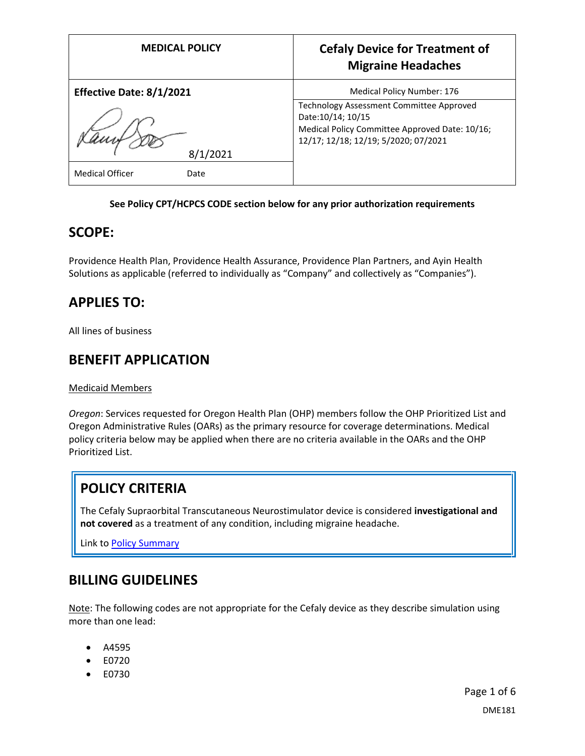| <b>MEDICAL POLICY</b>          | <b>Cefaly Device for Treatment of</b><br><b>Migraine Headaches</b>                                                                                       |
|--------------------------------|----------------------------------------------------------------------------------------------------------------------------------------------------------|
| Effective Date: 8/1/2021       | Medical Policy Number: 176                                                                                                                               |
|                                | Technology Assessment Committee Approved<br>Date: 10/14; 10/15<br>Medical Policy Committee Approved Date: 10/16;<br>12/17; 12/18; 12/19; 5/2020; 07/2021 |
| 8/1/2021                       |                                                                                                                                                          |
| <b>Medical Officer</b><br>Date |                                                                                                                                                          |

#### **See Policy CPT/HCPCS CODE section below for any prior authorization requirements**

### **SCOPE:**

Providence Health Plan, Providence Health Assurance, Providence Plan Partners, and Ayin Health Solutions as applicable (referred to individually as "Company" and collectively as "Companies").

## **APPLIES TO:**

All lines of business

### **BENEFIT APPLICATION**

Medicaid Members

*Oregon*: Services requested for Oregon Health Plan (OHP) members follow the OHP Prioritized List and Oregon Administrative Rules (OARs) as the primary resource for coverage determinations. Medical policy criteria below may be applied when there are no criteria available in the OARs and the OHP Prioritized List.

## **POLICY CRITERIA**

The Cefaly Supraorbital Transcutaneous Neurostimulator device is considered **investigational and not covered** as a treatment of any condition, including migraine headache.

Link t[o Policy Summary](#page-2-0)

### **BILLING GUIDELINES**

Note: The following codes are not appropriate for the Cefaly device as they describe simulation using more than one lead:

- A4595
- E0720
- E0730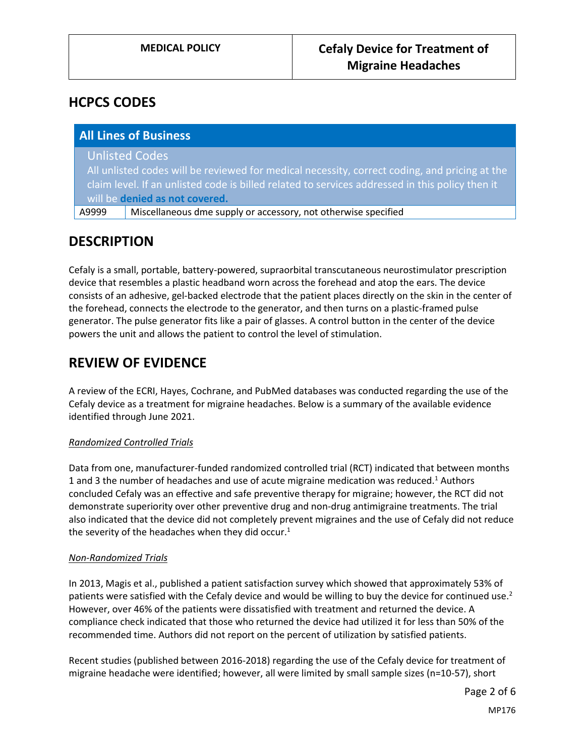### **HCPCS CODES**

|       | <b>All Lines of Business</b>                                                                    |
|-------|-------------------------------------------------------------------------------------------------|
|       | <b>Unlisted Codes</b>                                                                           |
|       | All unlisted codes will be reviewed for medical necessity, correct coding, and pricing at the   |
|       | claim level. If an unlisted code is billed related to services addressed in this policy then it |
|       | will be denied as not covered.                                                                  |
| A9999 | Miscellaneous dme supply or accessory, not otherwise specified                                  |

### **DESCRIPTION**

Cefaly is a small, portable, battery-powered, supraorbital transcutaneous neurostimulator prescription device that resembles a plastic headband worn across the forehead and atop the ears. The device consists of an adhesive, gel-backed electrode that the patient places directly on the skin in the center of the forehead, connects the electrode to the generator, and then turns on a plastic-framed pulse generator. The pulse generator fits like a pair of glasses. A control button in the center of the device powers the unit and allows the patient to control the level of stimulation.

## **REVIEW OF EVIDENCE**

A review of the ECRI, Hayes, Cochrane, and PubMed databases was conducted regarding the use of the Cefaly device as a treatment for migraine headaches. Below is a summary of the available evidence identified through June 2021.

#### *Randomized Controlled Trials*

Data from one, manufacturer-funded randomized controlled trial (RCT) indicated that between months 1 and 3 the number of headaches and use of acute migraine medication was reduced.<sup>1</sup> Authors concluded Cefaly was an effective and safe preventive therapy for migraine; however, the RCT did not demonstrate superiority over other preventive drug and non-drug antimigraine treatments. The trial also indicated that the device did not completely prevent migraines and the use of Cefaly did not reduce the severity of the headaches when they did occur. $1$ 

#### *Non-Randomized Trials*

In 2013, Magis et al., published a patient satisfaction survey which showed that approximately 53% of patients were satisfied with the Cefaly device and would be willing to buy the device for continued use.<sup>2</sup> However, over 46% of the patients were dissatisfied with treatment and returned the device. A compliance check indicated that those who returned the device had utilized it for less than 50% of the recommended time. Authors did not report on the percent of utilization by satisfied patients.

Recent studies (published between 2016-2018) regarding the use of the Cefaly device for treatment of migraine headache were identified; however, all were limited by small sample sizes (n=10-57), short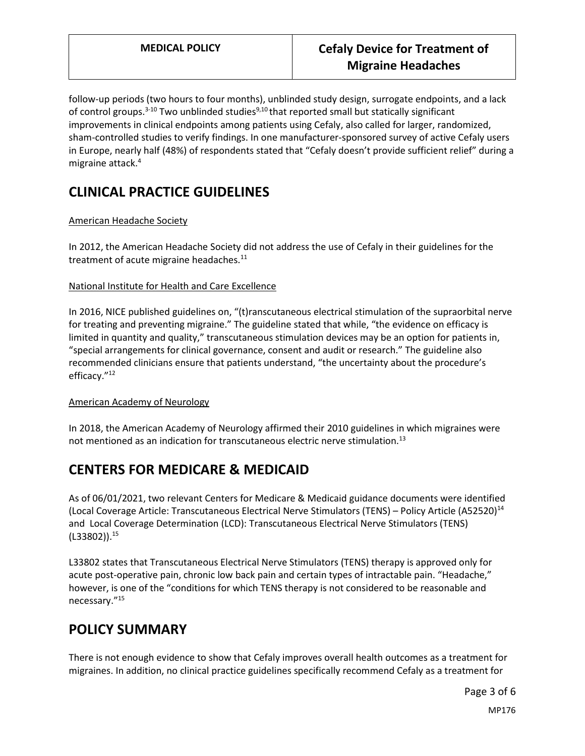follow-up periods (two hours to four months), unblinded study design, surrogate endpoints, and a lack of control groups.<sup>3-10</sup> Two unblinded studies<sup>9,10</sup> that reported small but statically significant improvements in clinical endpoints among patients using Cefaly, also called for larger, randomized, sham-controlled studies to verify findings. In one manufacturer-sponsored survey of active Cefaly users in Europe, nearly half (48%) of respondents stated that "Cefaly doesn't provide sufficient relief" during a migraine attack.<sup>4</sup>

# **CLINICAL PRACTICE GUIDELINES**

#### American Headache Society

In 2012, the American Headache Society did not address the use of Cefaly in their guidelines for the treatment of acute migraine headaches.<sup>11</sup>

#### National Institute for Health and Care Excellence

In 2016, NICE published guidelines on, "(t)ranscutaneous electrical stimulation of the supraorbital nerve for treating and preventing migraine." The guideline stated that while, "the evidence on efficacy is limited in quantity and quality," transcutaneous stimulation devices may be an option for patients in, "special arrangements for clinical governance, consent and audit or research." The guideline also recommended clinicians ensure that patients understand, "the uncertainty about the procedure's efficacy."<sup>12</sup>

#### American Academy of Neurology

In 2018, the American Academy of Neurology affirmed their 2010 guidelines in which migraines were not mentioned as an indication for transcutaneous electric nerve stimulation.<sup>13</sup>

# **CENTERS FOR MEDICARE & MEDICAID**

As of 06/01/2021, two relevant Centers for Medicare & Medicaid guidance documents were identified (Local Coverage Article: Transcutaneous Electrical Nerve Stimulators (TENS) – Policy Article (A52520)<sup>14</sup> and Local Coverage Determination (LCD): Transcutaneous Electrical Nerve Stimulators (TENS)  $(L33802)$ ).<sup>15</sup>

L33802 states that Transcutaneous Electrical Nerve Stimulators (TENS) therapy is approved only for acute post-operative pain, chronic low back pain and certain types of intractable pain. "Headache," however, is one of the "conditions for which TENS therapy is not considered to be reasonable and necessary."<sup>15</sup>

## <span id="page-2-0"></span>**POLICY SUMMARY**

There is not enough evidence to show that Cefaly improves overall health outcomes as a treatment for migraines. In addition, no clinical practice guidelines specifically recommend Cefaly as a treatment for

MP176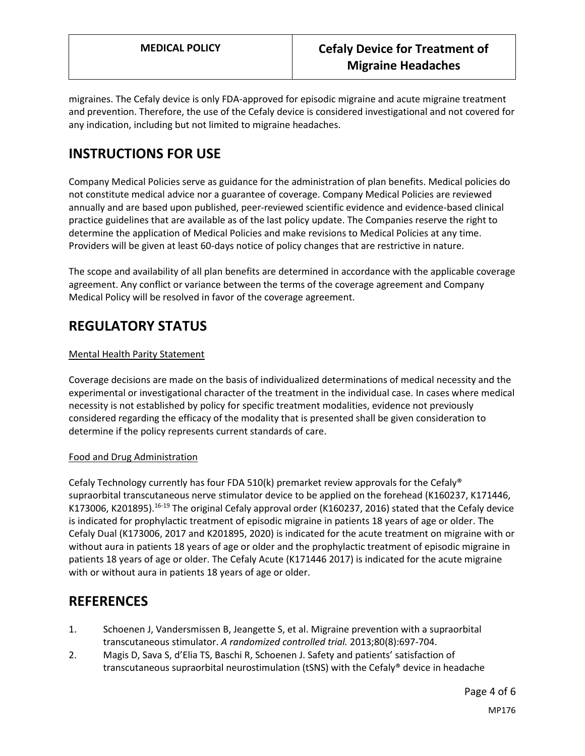migraines. The Cefaly device is only FDA-approved for episodic migraine and acute migraine treatment and prevention. Therefore, the use of the Cefaly device is considered investigational and not covered for any indication, including but not limited to migraine headaches.

# **INSTRUCTIONS FOR USE**

Company Medical Policies serve as guidance for the administration of plan benefits. Medical policies do not constitute medical advice nor a guarantee of coverage. Company Medical Policies are reviewed annually and are based upon published, peer-reviewed scientific evidence and evidence-based clinical practice guidelines that are available as of the last policy update. The Companies reserve the right to determine the application of Medical Policies and make revisions to Medical Policies at any time. Providers will be given at least 60-days notice of policy changes that are restrictive in nature.

The scope and availability of all plan benefits are determined in accordance with the applicable coverage agreement. Any conflict or variance between the terms of the coverage agreement and Company Medical Policy will be resolved in favor of the coverage agreement.

## **REGULATORY STATUS**

#### Mental Health Parity Statement

Coverage decisions are made on the basis of individualized determinations of medical necessity and the experimental or investigational character of the treatment in the individual case. In cases where medical necessity is not established by policy for specific treatment modalities, evidence not previously considered regarding the efficacy of the modality that is presented shall be given consideration to determine if the policy represents current standards of care.

#### Food and Drug Administration

Cefaly Technology currently has four FDA 510(k) premarket review approvals for the Cefaly<sup>®</sup> supraorbital transcutaneous nerve stimulator device to be applied on the forehead (K160237, K171446, K173006, K201895).<sup>16-19</sup> The original Cefaly approval order (K160237, 2016) stated that the Cefaly device is indicated for prophylactic treatment of episodic migraine in patients 18 years of age or older. The Cefaly Dual (K173006, 2017 and K201895, 2020) is indicated for the acute treatment on migraine with or without aura in patients 18 years of age or older and the prophylactic treatment of episodic migraine in patients 18 years of age or older. The Cefaly Acute (K171446 2017) is indicated for the acute migraine with or without aura in patients 18 years of age or older.

### **REFERENCES**

- 1. Schoenen J, Vandersmissen B, Jeangette S, et al. Migraine prevention with a supraorbital transcutaneous stimulator. *A randomized controlled trial.* 2013;80(8):697-704.
- 2. Magis D, Sava S, d'Elia TS, Baschi R, Schoenen J. Safety and patients' satisfaction of transcutaneous supraorbital neurostimulation (tSNS) with the Cefaly® device in headache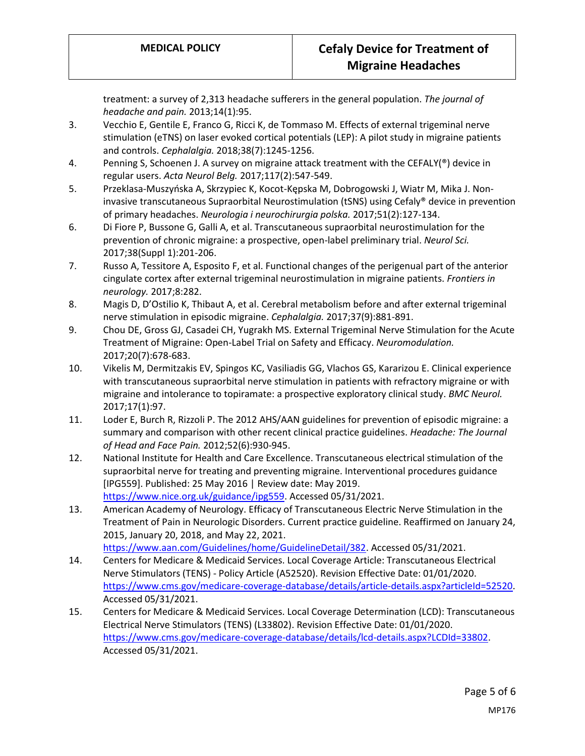treatment: a survey of 2,313 headache sufferers in the general population. *The journal of headache and pain.* 2013;14(1):95.

- 3. Vecchio E, Gentile E, Franco G, Ricci K, de Tommaso M. Effects of external trigeminal nerve stimulation (eTNS) on laser evoked cortical potentials (LEP): A pilot study in migraine patients and controls. *Cephalalgia.* 2018;38(7):1245-1256.
- 4. Penning S, Schoenen J. A survey on migraine attack treatment with the CEFALY(®) device in regular users. *Acta Neurol Belg.* 2017;117(2):547-549.
- 5. Przeklasa-Muszyńska A, Skrzypiec K, Kocot-Kępska M, Dobrogowski J, Wiatr M, Mika J. Noninvasive transcutaneous Supraorbital Neurostimulation (tSNS) using Cefaly® device in prevention of primary headaches. *Neurologia i neurochirurgia polska.* 2017;51(2):127-134.
- 6. Di Fiore P, Bussone G, Galli A, et al. Transcutaneous supraorbital neurostimulation for the prevention of chronic migraine: a prospective, open-label preliminary trial. *Neurol Sci.*  2017;38(Suppl 1):201-206.
- 7. Russo A, Tessitore A, Esposito F, et al. Functional changes of the perigenual part of the anterior cingulate cortex after external trigeminal neurostimulation in migraine patients. *Frontiers in neurology.* 2017;8:282.
- 8. Magis D, D'Ostilio K, Thibaut A, et al. Cerebral metabolism before and after external trigeminal nerve stimulation in episodic migraine. *Cephalalgia.* 2017;37(9):881-891.
- 9. Chou DE, Gross GJ, Casadei CH, Yugrakh MS. External Trigeminal Nerve Stimulation for the Acute Treatment of Migraine: Open-Label Trial on Safety and Efficacy. *Neuromodulation.*  2017;20(7):678-683.
- 10. Vikelis M, Dermitzakis EV, Spingos KC, Vasiliadis GG, Vlachos GS, Kararizou E. Clinical experience with transcutaneous supraorbital nerve stimulation in patients with refractory migraine or with migraine and intolerance to topiramate: a prospective exploratory clinical study. *BMC Neurol.*  2017;17(1):97.
- 11. Loder E, Burch R, Rizzoli P. The 2012 AHS/AAN guidelines for prevention of episodic migraine: a summary and comparison with other recent clinical practice guidelines. *Headache: The Journal of Head and Face Pain.* 2012;52(6):930-945.
- 12. National Institute for Health and Care Excellence. Transcutaneous electrical stimulation of the supraorbital nerve for treating and preventing migraine. Interventional procedures guidance [IPG559]. Published: 25 May 2016 | Review date: May 2019. [https://www.nice.org.uk/guidance/ipg559.](https://www.nice.org.uk/guidance/ipg559) Accessed 05/31/2021.
- 13. American Academy of Neurology. Efficacy of Transcutaneous Electric Nerve Stimulation in the Treatment of Pain in Neurologic Disorders. Current practice guideline. Reaffirmed on January 24, 2015, January 20, 2018, and May 22, 2021. [https://www.aan.com/Guidelines/home/GuidelineDetail/382.](https://www.aan.com/Guidelines/home/GuidelineDetail/382) Accessed 05/31/2021.

14. Centers for Medicare & Medicaid Services. Local Coverage Article: Transcutaneous Electrical

- Nerve Stimulators (TENS) Policy Article (A52520). Revision Effective Date: 01/01/2020. [https://www.cms.gov/medicare-coverage-database/details/article-details.aspx?articleId=52520.](https://www.cms.gov/medicare-coverage-database/details/article-details.aspx?articleId=52520) Accessed 05/31/2021.
- 15. Centers for Medicare & Medicaid Services. Local Coverage Determination (LCD): Transcutaneous Electrical Nerve Stimulators (TENS) (L33802). Revision Effective Date: 01/01/2020. [https://www.cms.gov/medicare-coverage-database/details/lcd-details.aspx?LCDId=33802.](https://www.cms.gov/medicare-coverage-database/details/lcd-details.aspx?LCDId=33802) Accessed 05/31/2021.